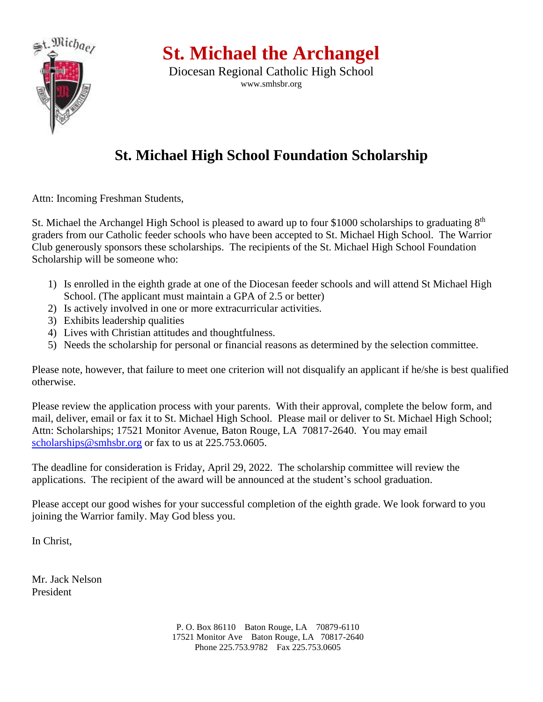

**St. Michael the Archangel**

Diocesan Regional Catholic High School www.smhsbr.org

# **St. Michael High School Foundation Scholarship**

Attn: Incoming Freshman Students,

St. Michael the Archangel High School is pleased to award up to four \$1000 scholarships to graduating 8<sup>th</sup> graders from our Catholic feeder schools who have been accepted to St. Michael High School. The Warrior Club generously sponsors these scholarships. The recipients of the St. Michael High School Foundation Scholarship will be someone who:

- 1) Is enrolled in the eighth grade at one of the Diocesan feeder schools and will attend St Michael High School. (The applicant must maintain a GPA of 2.5 or better)
- 2) Is actively involved in one or more extracurricular activities.
- 3) Exhibits leadership qualities
- 4) Lives with Christian attitudes and thoughtfulness.
- 5) Needs the scholarship for personal or financial reasons as determined by the selection committee.

Please note, however, that failure to meet one criterion will not disqualify an applicant if he/she is best qualified otherwise.

Please review the application process with your parents. With their approval, complete the below form, and mail, deliver, email or fax it to St. Michael High School. Please mail or deliver to St. Michael High School; Attn: Scholarships; 17521 Monitor Avenue, Baton Rouge, LA 70817-2640. You may email [scholarships@smhsbr.org](mailto:scholarships@smhsbr.org) or fax to us at 225.753.0605.

The deadline for consideration is Friday, April 29, 2022. The scholarship committee will review the applications. The recipient of the award will be announced at the student's school graduation.

Please accept our good wishes for your successful completion of the eighth grade. We look forward to you joining the Warrior family. May God bless you.

In Christ,

Mr. Jack Nelson President

> P. O. Box 86110 Baton Rouge, LA 70879-6110 17521 Monitor Ave Baton Rouge, LA 70817-2640 Phone 225.753.9782 Fax 225.753.0605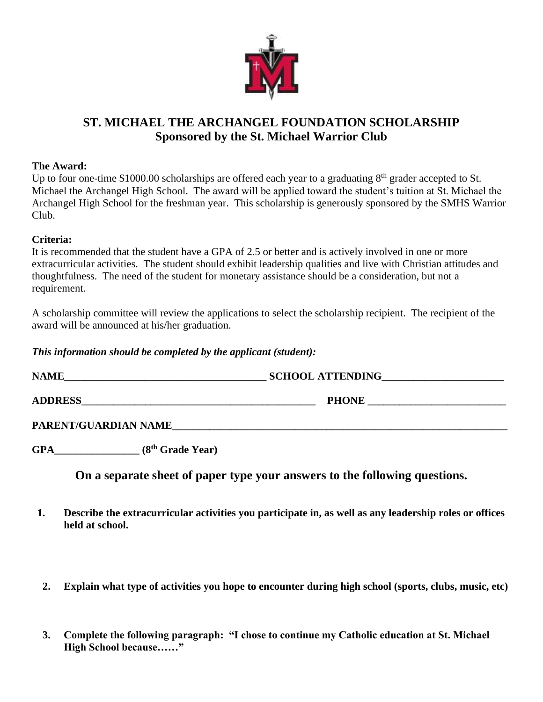

## **ST. MICHAEL THE ARCHANGEL FOUNDATION SCHOLARSHIP Sponsored by the St. Michael Warrior Club**

#### **The Award:**

Up to four one-time  $$1000.00$  scholarships are offered each year to a graduating  $8<sup>th</sup>$  grader accepted to St. Michael the Archangel High School. The award will be applied toward the student's tuition at St. Michael the Archangel High School for the freshman year. This scholarship is generously sponsored by the SMHS Warrior Club.

#### **Criteria:**

It is recommended that the student have a GPA of 2.5 or better and is actively involved in one or more extracurricular activities. The student should exhibit leadership qualities and live with Christian attitudes and thoughtfulness. The need of the student for monetary assistance should be a consideration, but not a requirement.

A scholarship committee will review the applications to select the scholarship recipient. The recipient of the award will be announced at his/her graduation.

*This information should be completed by the applicant (student):*

| <b>NAME</b>          | <b>SCHOOL ATTENDING</b> |  |
|----------------------|-------------------------|--|
| <b>ADDRESS</b>       | <b>PHONE</b>            |  |
| PARENT/GUARDIAN NAME |                         |  |

**GPA\_\_\_\_\_\_\_\_\_\_\_\_\_\_\_\_ (8th Grade Year)**

**On a separate sheet of paper type your answers to the following questions.**

- **1. Describe the extracurricular activities you participate in, as well as any leadership roles or offices held at school.**
- **2. Explain what type of activities you hope to encounter during high school (sports, clubs, music, etc)**
- **3. Complete the following paragraph: "I chose to continue my Catholic education at St. Michael High School because……"**